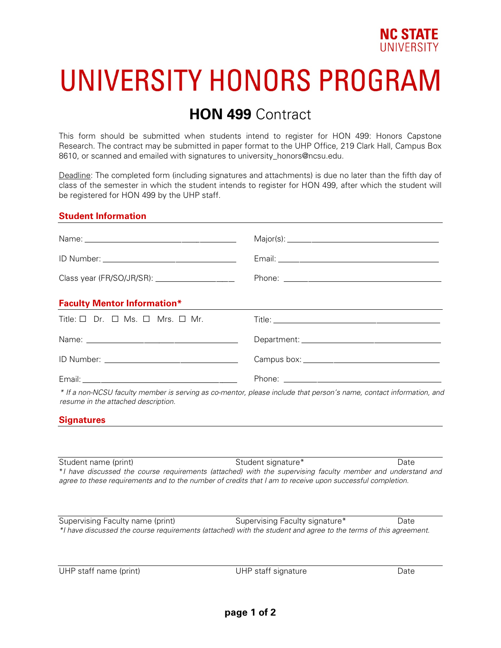

# UNIVERSITY HONORS PROGRAM

## **HON 499** Contract

This form should be submitted when students intend to register for HON 499: Honors Capstone Research. The contract may be submitted in paper format to the UHP Office, 219 Clark Hall, Campus Box 8610, or scanned and emailed with signatures to university honors@ncsu.edu.

Deadline: The completed form (including signatures and attachments) is due no later than the fifth day of class of the semester in which the student intends to register for HON 499, after which the student will be registered for HON 499 by the UHP staff.

#### **Student Information**

| <b>Faculty Mentor Information*</b>                              | ,我们也不会有什么。""我们的人,我们也不会有什么?""我们的人,我们也不会有什么?""我们的人,我们也不会有什么?""我们的人,我们也不会有什么?""我们的人                                    |
|-----------------------------------------------------------------|---------------------------------------------------------------------------------------------------------------------|
| Title: $\square$ Dr. $\square$ Ms. $\square$ Mrs. $\square$ Mr. |                                                                                                                     |
|                                                                 |                                                                                                                     |
|                                                                 |                                                                                                                     |
|                                                                 |                                                                                                                     |
| resume in the attached description.                             | * If a non-NCSU faculty member is serving as co-mentor, please include that person's name, contact information, and |

#### **Signatures**

Student name (print) Student signature\* Date

\**I have discussed the course requirements (attached) with the supervising faculty member and understand and agree to these requirements and to the number of credits that I am to receive upon successful completion.*

Supervising Faculty name (print) Supervising Faculty signature\* Date *\*I have discussed the course requirements (attached) with the student and agree to the terms of this agreement.*

UHP staff name (print) and the UHP staff signature Date Date